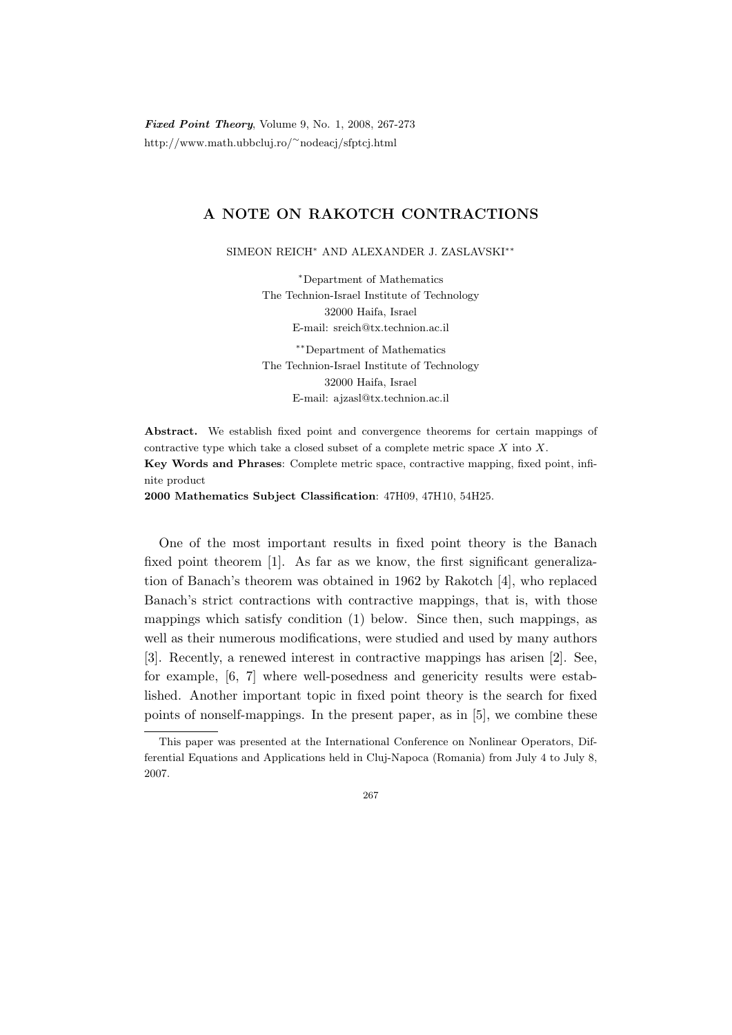Fixed Point Theory, Volume 9, No. 1, 2008, 267-273 http://www.math.ubbcluj.ro/<sup>∼</sup>nodeacj/sfptcj.html

## A NOTE ON RAKOTCH CONTRACTIONS

SIMEON REICH<sup>∗</sup> AND ALEXANDER J. ZASLAVSKI∗∗

<sup>∗</sup>Department of Mathematics The Technion-Israel Institute of Technology 32000 Haifa, Israel E-mail: sreich@tx.technion.ac.il

∗∗Department of Mathematics The Technion-Israel Institute of Technology 32000 Haifa, Israel E-mail: ajzasl@tx.technion.ac.il

Abstract. We establish fixed point and convergence theorems for certain mappings of contractive type which take a closed subset of a complete metric space  $X$  into  $X$ . Key Words and Phrases: Complete metric space, contractive mapping, fixed point, infinite product

2000 Mathematics Subject Classification: 47H09, 47H10, 54H25.

One of the most important results in fixed point theory is the Banach fixed point theorem [1]. As far as we know, the first significant generalization of Banach's theorem was obtained in 1962 by Rakotch [4], who replaced Banach's strict contractions with contractive mappings, that is, with those mappings which satisfy condition (1) below. Since then, such mappings, as well as their numerous modifications, were studied and used by many authors [3]. Recently, a renewed interest in contractive mappings has arisen [2]. See, for example, [6, 7] where well-posedness and genericity results were established. Another important topic in fixed point theory is the search for fixed points of nonself-mappings. In the present paper, as in [5], we combine these

267

This paper was presented at the International Conference on Nonlinear Operators, Differential Equations and Applications held in Cluj-Napoca (Romania) from July 4 to July 8, 2007.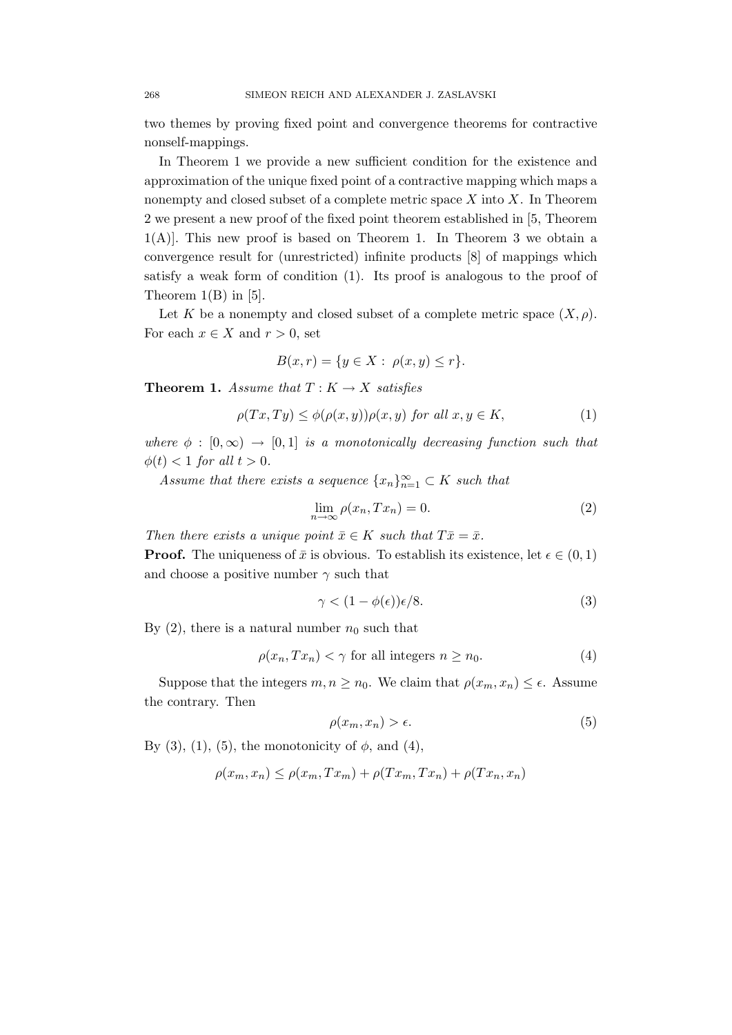two themes by proving fixed point and convergence theorems for contractive nonself-mappings.

In Theorem 1 we provide a new sufficient condition for the existence and approximation of the unique fixed point of a contractive mapping which maps a nonempty and closed subset of a complete metric space  $X$  into  $X$ . In Theorem 2 we present a new proof of the fixed point theorem established in [5, Theorem  $1(A)$ ]. This new proof is based on Theorem 1. In Theorem 3 we obtain a convergence result for (unrestricted) infinite products [8] of mappings which satisfy a weak form of condition (1). Its proof is analogous to the proof of Theorem  $1(B)$  in [5].

Let K be a nonempty and closed subset of a complete metric space  $(X, \rho)$ . For each  $x \in X$  and  $r > 0$ , set

$$
B(x,r) = \{ y \in X : \ \rho(x,y) \le r \}.
$$

**Theorem 1.** Assume that  $T: K \to X$  satisfies

$$
\rho(Tx, Ty) \le \phi(\rho(x, y))\rho(x, y) \text{ for all } x, y \in K,
$$
\n(1)

where  $\phi : [0, \infty) \rightarrow [0, 1]$  is a monotonically decreasing function such that  $\phi(t) < 1$  for all  $t > 0$ .

Assume that there exists a sequence  ${x_n}_{n=1}^{\infty} \subset K$  such that

$$
\lim_{n \to \infty} \rho(x_n, Tx_n) = 0. \tag{2}
$$

Then there exists a unique point  $\bar{x} \in K$  such that  $T\bar{x} = \bar{x}$ .

**Proof.** The uniqueness of  $\bar{x}$  is obvious. To establish its existence, let  $\epsilon \in (0,1)$ and choose a positive number  $\gamma$  such that

$$
\gamma < (1 - \phi(\epsilon))\epsilon/8. \tag{3}
$$

By  $(2)$ , there is a natural number  $n_0$  such that

$$
\rho(x_n, Tx_n) < \gamma \text{ for all integers } n \ge n_0. \tag{4}
$$

Suppose that the integers  $m, n \geq n_0$ . We claim that  $\rho(x_m, x_n) \leq \epsilon$ . Assume the contrary. Then

$$
\rho(x_m, x_n) > \epsilon. \tag{5}
$$

By (3), (1), (5), the monotonicity of  $\phi$ , and (4),

$$
\rho(x_m, x_n) \le \rho(x_m, Tx_m) + \rho(Tx_m, Tx_n) + \rho(Tx_n, x_n)
$$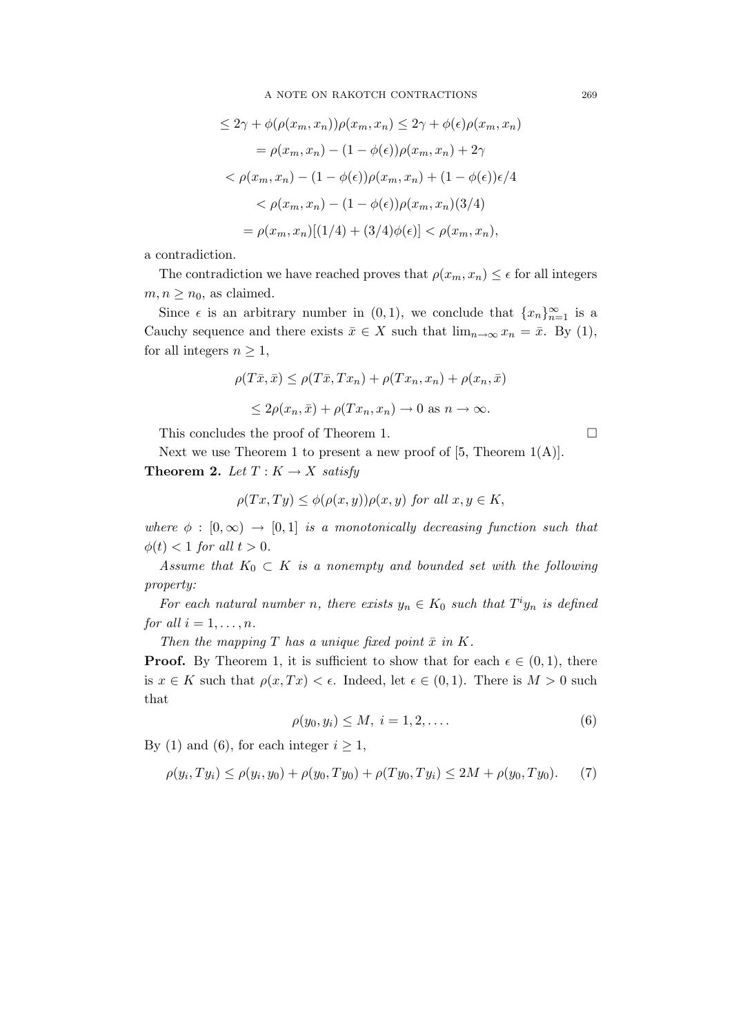$$
\leq 2\gamma + \phi(\rho(x_m, x_n))\rho(x_m, x_n) \leq 2\gamma + \phi(\epsilon)\rho(x_m, x_n)
$$

$$
= \rho(x_m, x_n) - (1 - \phi(\epsilon))\rho(x_m, x_n) + 2\gamma
$$

$$
< \rho(x_m, x_n) - (1 - \phi(\epsilon))\rho(x_m, x_n) + (1 - \phi(\epsilon))\epsilon/4
$$

$$
< \rho(x_m, x_n) - (1 - \phi(\epsilon))\rho(x_m, x_n)(3/4)
$$

$$
= \rho(x_m, x_n)[(1/4) + (3/4)\phi(\epsilon)] < \rho(x_m, x_n),
$$

a contradiction.

The contradiction we have reached proves that  $\rho(x_m, x_n) \leq \epsilon$  for all integers  $m, n \geq n_0$ , as claimed.

Since  $\epsilon$  is an arbitrary number in  $(0,1)$ , we conclude that  $\{x_n\}_{n=1}^{\infty}$  is a Cauchy sequence and there exists  $\bar{x} \in X$  such that  $\lim_{n\to\infty} x_n = \bar{x}$ . By (1), for all integers  $n \geq 1$ ,

$$
\rho(T\bar{x}, \bar{x}) \leq \rho(T\bar{x}, Tx_n) + \rho(Tx_n, x_n) + \rho(x_n, \bar{x})
$$
  

$$
\leq 2\rho(x_n, \bar{x}) + \rho(Tx_n, x_n) \to 0 \text{ as } n \to \infty.
$$

This concludes the proof of Theorem 1.

Next we use Theorem 1 to present a new proof of  $[5,$  Theorem  $1(A)$ ]. **Theorem 2.** Let  $T: K \to X$  satisfy

$$
\rho(Tx,Ty) \le \phi(\rho(x,y))\rho(x,y) \text{ for all } x,y \in K,
$$

where  $\phi : [0, \infty) \rightarrow [0, 1]$  is a monotonically decreasing function such that  $\phi(t) < 1$  for all  $t > 0$ .

Assume that  $K_0 \subset K$  is a nonempty and bounded set with the following property:

For each natural number n, there exists  $y_n \in K_0$  such that  $T^i y_n$  is defined for all  $i = 1, \ldots, n$ .

Then the mapping  $T$  has a unique fixed point  $\bar{x}$  in  $K$ .

**Proof.** By Theorem 1, it is sufficient to show that for each  $\epsilon \in (0,1)$ , there is  $x \in K$  such that  $\rho(x,Tx) < \epsilon$ . Indeed, let  $\epsilon \in (0,1)$ . There is  $M > 0$  such that

$$
\rho(y_0, y_i) \le M, \ i = 1, 2, \dots \tag{6}
$$

By (1) and (6), for each integer  $i \geq 1$ ,

$$
\rho(y_i, Ty_i) \le \rho(y_i, y_0) + \rho(y_0, Ty_0) + \rho(Ty_0, Ty_i) \le 2M + \rho(y_0, Ty_0).
$$
 (7)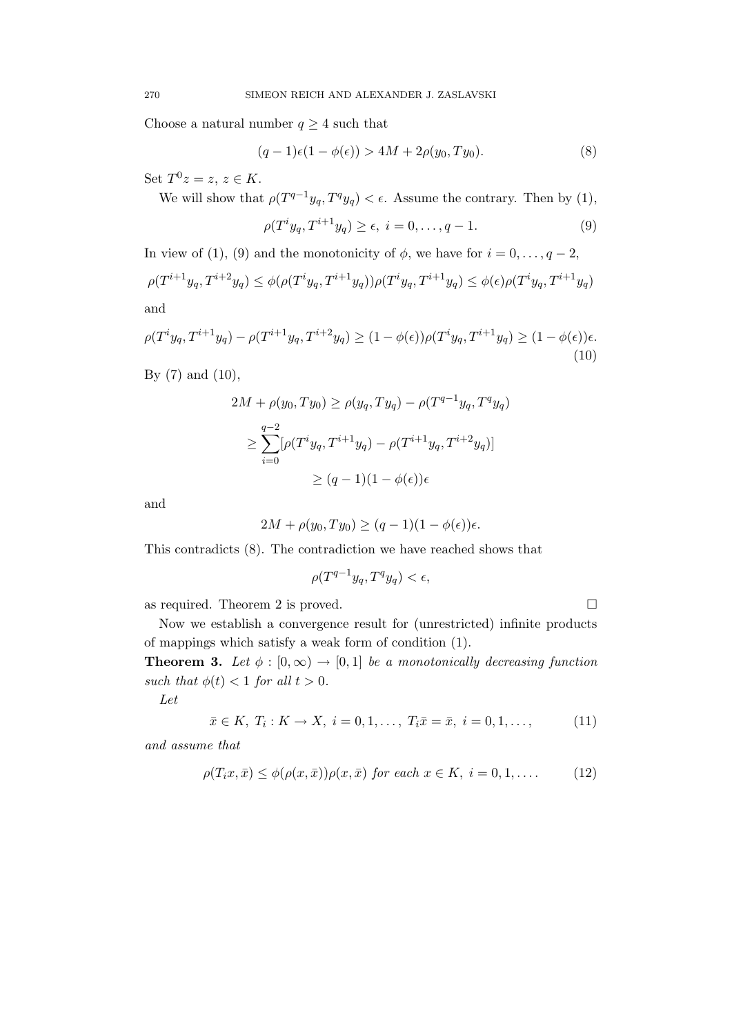Choose a natural number  $q \geq 4$  such that

$$
(q-1)\epsilon(1-\phi(\epsilon)) > 4M + 2\rho(y_0, Ty_0).
$$
 (8)

Set  $T^0 z = z, z \in K$ .

We will show that  $\rho(T^{q-1}y_q, T^q y_q) < \epsilon$ . Assume the contrary. Then by (1),

$$
\rho(T^i y_q, T^{i+1} y_q) \ge \epsilon, \ i = 0, \dots, q - 1. \tag{9}
$$

In view of (1), (9) and the monotonicity of  $\phi$ , we have for  $i = 0, \ldots, q - 2$ ,  $\rho(T^{i+1}y_q, T^{i+2}y_q) \leq \phi(\rho(T^iy_q, T^{i+1}y_q))\rho(T^iy_q, T^{i+1}y_q) \leq \phi(\epsilon) \rho(T^iy_q, T^{i+1}y_q)$ and

$$
\rho(T^i y_q, T^{i+1} y_q) - \rho(T^{i+1} y_q, T^{i+2} y_q) \ge (1 - \phi(\epsilon)) \rho(T^i y_q, T^{i+1} y_q) \ge (1 - \phi(\epsilon)) \epsilon.
$$
\n(10)

By  $(7)$  and  $(10)$ ,

$$
2M + \rho(y_0, Ty_0) \ge \rho(y_q, Ty_q) - \rho(T^{q-1}y_q, T^q y_q)
$$
  
\n
$$
\ge \sum_{i=0}^{q-2} [\rho(T^i y_q, T^{i+1} y_q) - \rho(T^{i+1} y_q, T^{i+2} y_q)]
$$
  
\n
$$
\ge (q-1)(1 - \phi(\epsilon))\epsilon
$$

and

$$
2M + \rho(y_0, Ty_0) \ge (q-1)(1-\phi(\epsilon))\epsilon.
$$

This contradicts (8). The contradiction we have reached shows that

$$
\rho(T^{q-1}y_q, T^q y_q) < \epsilon,
$$

as required. Theorem 2 is proved.

$$
\exists
$$

Now we establish a convergence result for (unrestricted) infinite products of mappings which satisfy a weak form of condition (1).

**Theorem 3.** Let  $\phi : [0, \infty) \to [0, 1]$  be a monotonically decreasing function such that  $\phi(t) < 1$  for all  $t > 0$ .

Let

$$
\bar{x} \in K, T_i: K \to X, i = 0, 1, ..., T_i \bar{x} = \bar{x}, i = 0, 1, ..., \tag{11}
$$

and assume that

$$
\rho(T_i x, \bar{x}) \le \phi(\rho(x, \bar{x}))\rho(x, \bar{x}) \text{ for each } x \in K, i = 0, 1, \dots \tag{12}
$$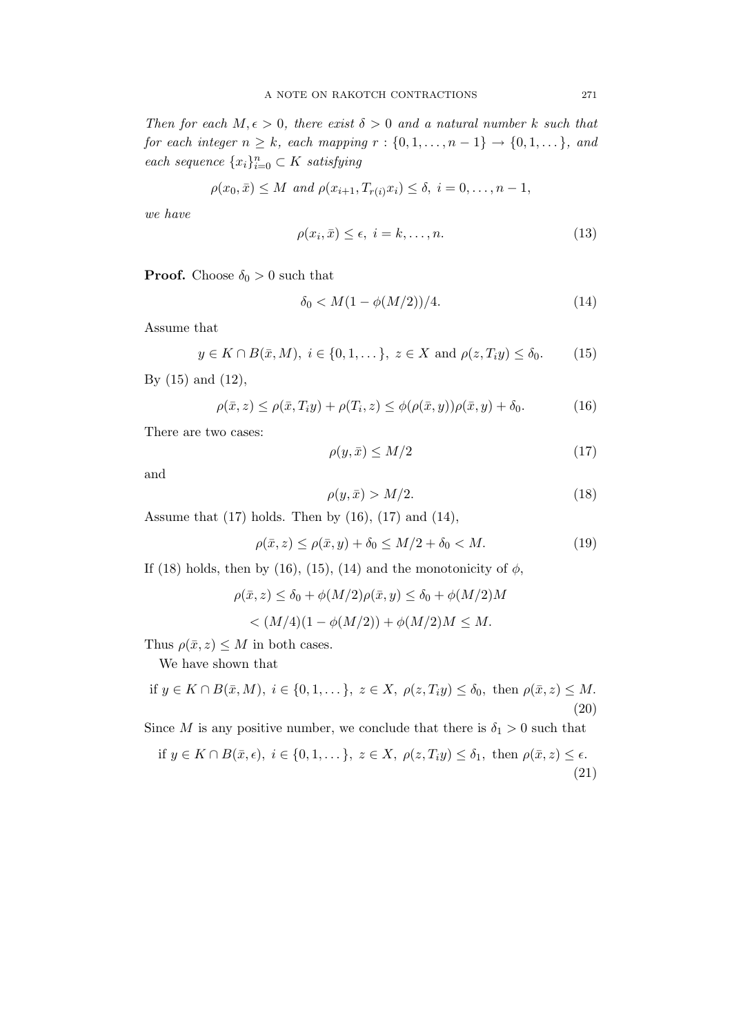Then for each  $M, \epsilon > 0$ , there exist  $\delta > 0$  and a natural number k such that for each integer  $n \geq k$ , each mapping  $r : \{0, 1, \ldots, n-1\} \to \{0, 1, \ldots\}$ , and each sequence  $\{x_i\}_{i=0}^n \subset K$  satisfying

$$
\rho(x_0, \bar{x}) \leq M
$$
 and  $\rho(x_{i+1}, T_{r(i)}x_i) \leq \delta, i = 0, ..., n-1,$ 

we have

$$
\rho(x_i, \bar{x}) \le \epsilon, \ i = k, \dots, n. \tag{13}
$$

**Proof.** Choose  $\delta_0 > 0$  such that

$$
\delta_0 < M(1 - \phi(M/2))/4. \tag{14}
$$

Assume that

$$
y \in K \cap B(\bar{x}, M), i \in \{0, 1, \dots\}, z \in X \text{ and } \rho(z, T_i y) \le \delta_0.
$$
 (15)

By (15) and (12),

$$
\rho(\bar{x}, z) \le \rho(\bar{x}, T_i y) + \rho(T_i, z) \le \phi(\rho(\bar{x}, y))\rho(\bar{x}, y) + \delta_0.
$$
\n(16)

There are two cases:

$$
\rho(y,\bar{x}) \le M/2 \tag{17}
$$

and

$$
\rho(y,\bar{x}) > M/2.
$$
\n(18)

Assume that  $(17)$  holds. Then by  $(16)$ ,  $(17)$  and  $(14)$ ,

$$
\rho(\bar{x}, z) \le \rho(\bar{x}, y) + \delta_0 \le M/2 + \delta_0 < M. \tag{19}
$$

If (18) holds, then by (16), (15), (14) and the monotonicity of  $\phi$ ,

$$
\rho(\bar{x}, z) \le \delta_0 + \phi(M/2)\rho(\bar{x}, y) \le \delta_0 + \phi(M/2)M
$$
  
<  $(M/4)(1 - \phi(M/2)) + \phi(M/2)M \le M.$ 

Thus  $\rho(\bar{x}, z) \leq M$  in both cases.

We have shown that

if 
$$
y \in K \cap B(\bar{x}, M)
$$
,  $i \in \{0, 1, \dots\}$ ,  $z \in X$ ,  $\rho(z, T_i y) \le \delta_0$ , then  $\rho(\bar{x}, z) \le M$ . (20)

Since M is any positive number, we conclude that there is  $\delta_1 > 0$  such that

if 
$$
y \in K \cap B(\bar{x}, \epsilon)
$$
,  $i \in \{0, 1, \ldots\}$ ,  $z \in X$ ,  $\rho(z, T_i y) \le \delta_1$ , then  $\rho(\bar{x}, z) \le \epsilon$ . (21)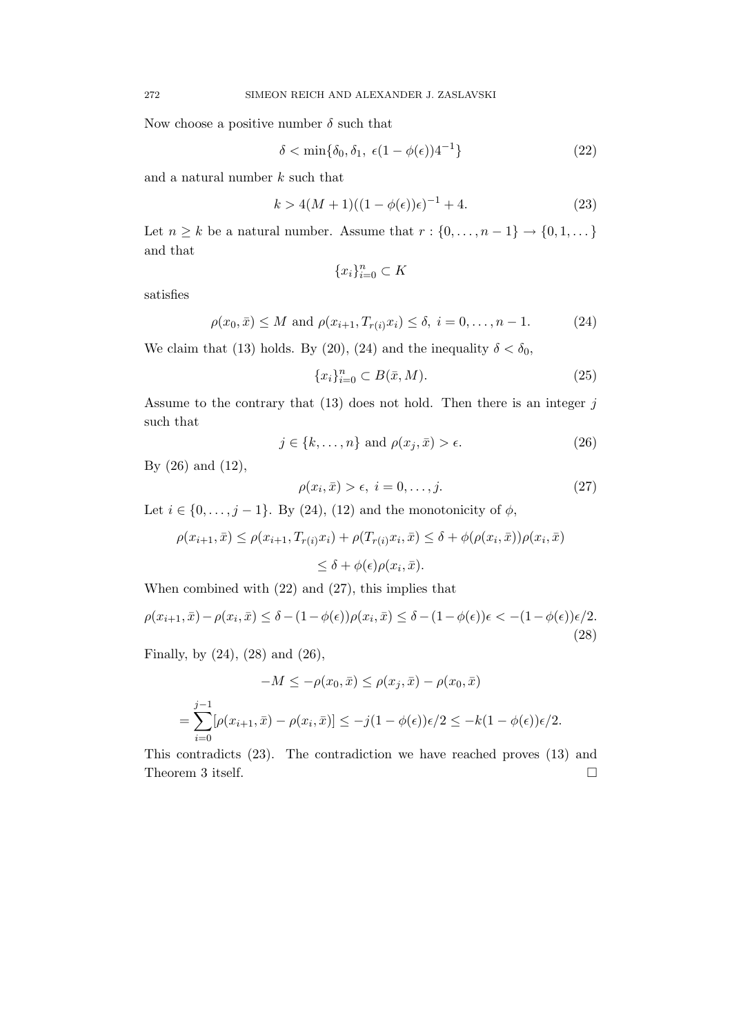Now choose a positive number  $\delta$  such that

$$
\delta < \min\{\delta_0, \delta_1, \ \epsilon(1 - \phi(\epsilon))\}^{1}
$$
\n<sup>(22)</sup>

and a natural number  $k$  such that

$$
k > 4(M+1)((1 - \phi(\epsilon))\epsilon)^{-1} + 4.
$$
 (23)

Let  $n \geq k$  be a natural number. Assume that  $r : \{0, \ldots, n-1\} \to \{0, 1, \ldots\}$ and that

$$
\{x_i\}_{i=0}^n \subset K
$$

satisfies

$$
\rho(x_0, \bar{x}) \le M
$$
 and  $\rho(x_{i+1}, T_{r(i)}x_i) \le \delta$ ,  $i = 0, ..., n-1$ . (24)

We claim that (13) holds. By (20), (24) and the inequality  $\delta < \delta_0$ ,

$$
\{x_i\}_{i=0}^n \subset B(\bar{x}, M). \tag{25}
$$

Assume to the contrary that  $(13)$  does not hold. Then there is an integer j such that

$$
j \in \{k, \dots, n\} \text{ and } \rho(x_j, \bar{x}) > \epsilon. \tag{26}
$$

By (26) and (12),

$$
\rho(x_i, \bar{x}) > \epsilon, \ i = 0, \dots, j. \tag{27}
$$

Let  $i \in \{0, \ldots, j-1\}$ . By (24), (12) and the monotonicity of  $\phi$ ,

$$
\rho(x_{i+1}, \bar{x}) \leq \rho(x_{i+1}, T_{r(i)}x_i) + \rho(T_{r(i)}x_i, \bar{x}) \leq \delta + \phi(\rho(x_i, \bar{x}))\rho(x_i, \bar{x})
$$
  

$$
\leq \delta + \phi(\epsilon)\rho(x_i, \bar{x}).
$$

When combined with (22) and (27), this implies that

$$
\rho(x_{i+1}, \bar{x}) - \rho(x_i, \bar{x}) \le \delta - (1 - \phi(\epsilon))\rho(x_i, \bar{x}) \le \delta - (1 - \phi(\epsilon))\epsilon < - (1 - \phi(\epsilon))\epsilon/2.
$$
\n(28)

Finally, by (24), (28) and (26),

$$
-M \le -\rho(x_0, \bar{x}) \le \rho(x_j, \bar{x}) - \rho(x_0, \bar{x})
$$
  
= 
$$
\sum_{i=0}^{j-1} [\rho(x_{i+1}, \bar{x}) - \rho(x_i, \bar{x})] \le -j(1 - \phi(\epsilon))\epsilon/2 \le -k(1 - \phi(\epsilon))\epsilon/2.
$$

This contradicts (23). The contradiction we have reached proves (13) and Theorem 3 itself.  $\hfill \square$